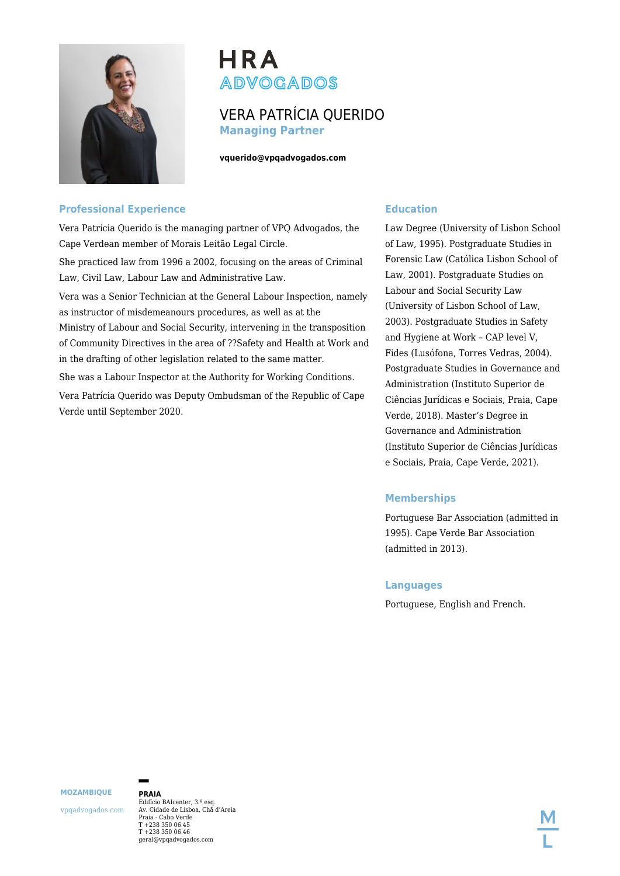

# **HRA ADVOGADOS**

# VERA PATRÍCIA QUERIDO **Managing Partner**

**vquerido@vpqadvogados.com**

## **Professional Experience**

Vera Patrícia Querido is the managing partner of VPQ Advogados, the Cape Verdean member of Morais Leitão Legal Circle.

She practiced law from 1996 a 2002, focusing on the areas of Criminal Law, Civil Law, Labour Law and Administrative Law.

Vera was a Senior Technician at the General Labour Inspection, namely as instructor of misdemeanours procedures, as well as at the Ministry of Labour and Social Security, intervening in the transposition of Community Directives in the area of ??Safety and Health at Work and in the drafting of other legislation related to the same matter.

She was a Labour Inspector at the Authority for Working Conditions.

Vera Patrícia Querido was Deputy Ombudsman of the Republic of Cape Verde until September 2020.

# **Education**

Law Degree (University of Lisbon School of Law, 1995). Postgraduate Studies in Forensic Law (Católica Lisbon School of Law, 2001). Postgraduate Studies on Labour and Social Security Law (University of Lisbon School of Law, 2003). Postgraduate Studies in Safety and Hygiene at Work – CAP level V, Fides (Lusófona, Torres Vedras, 2004). Postgraduate Studies in Governance and Administration (Instituto Superior de Ciências Jurídicas e Sociais, Praia, Cape Verde, 2018). Master's Degree in Governance and Administration (Instituto Superior de Ciências Jurídicas e Sociais, Praia, Cape Verde, 2021).

# **Memberships**

Portuguese Bar Association (admitted in 1995). Cape Verde Bar Association (admitted in 2013).

#### **Languages**

Portuguese, English and French.

**MOZAMBIQUE**

vpqadvogados.com

**PRAIA** Edifício BAIcenter, 3.º esq. Av. Cidade de Lisboa, Chã d'Areia Praia - Cabo Verde T +238 350 06 45 T +238 350 06 46 geral@vpqadvogados.com